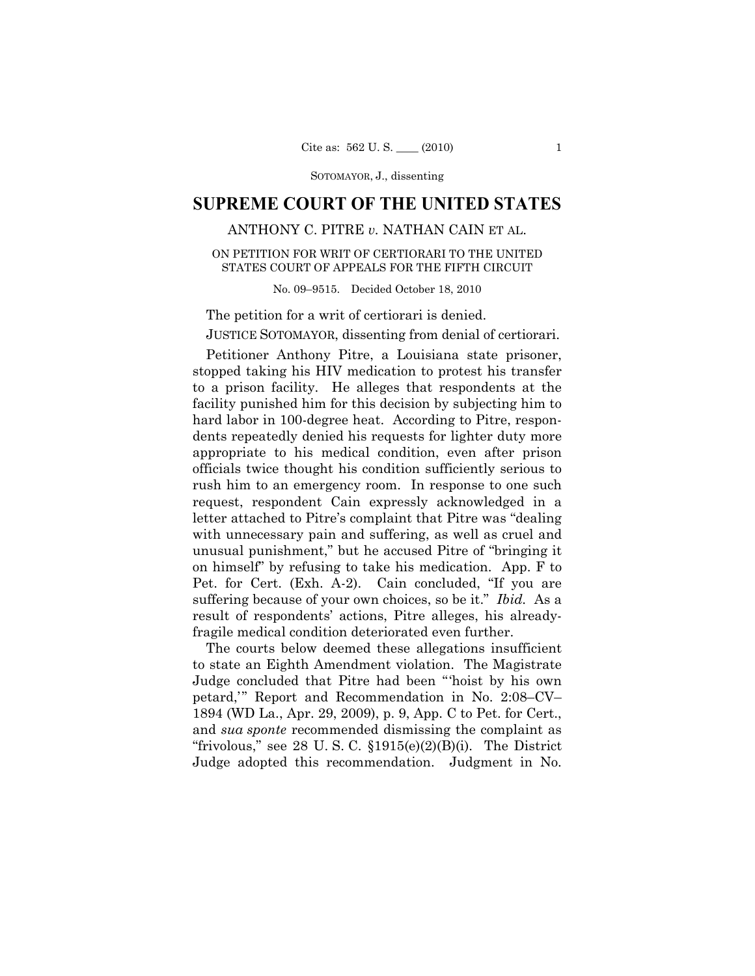SOTOMAYOR, J., dissenting

# **SUPREME COURT OF THE UNITED STATES**

# ANTHONY C. PITRE *v.* NATHAN CAIN ET AL.

# ON PETITION FOR WRIT OF CERTIORARI TO THE UNITED STATES COURT OF APPEALS FOR THE FIFTH CIRCUIT

No. 09–9515. Decided October 18, 2010

The petition for a writ of certiorari is denied. JUSTICE SOTOMAYOR, dissenting from denial of certiorari.

Petitioner Anthony Pitre, a Louisiana state prisoner, stopped taking his HIV medication to protest his transfer to a prison facility. He alleges that respondents at the facility punished him for this decision by subjecting him to hard labor in 100-degree heat. According to Pitre, respondents repeatedly denied his requests for lighter duty more appropriate to his medical condition, even after prison officials twice thought his condition sufficiently serious to rush him to an emergency room. In response to one such request, respondent Cain expressly acknowledged in a letter attached to Pitre's complaint that Pitre was "dealing with unnecessary pain and suffering, as well as cruel and unusual punishment," but he accused Pitre of "bringing it on himself" by refusing to take his medication. App. F to Pet. for Cert. (Exh. A-2). Cain concluded, "If you are suffering because of your own choices, so be it." *Ibid.* As a result of respondents' actions, Pitre alleges, his alreadyfragile medical condition deteriorated even further.

The courts below deemed these allegations insufficient to state an Eighth Amendment violation. The Magistrate Judge concluded that Pitre had been "'hoist by his own petard,'" Report and Recommendation in No. 2:08–CV– 1894 (WD La., Apr. 29, 2009), p. 9, App. C to Pet. for Cert., and *sua sponte* recommended dismissing the complaint as "frivolous," see 28 U.S.C.  $$1915(e)(2)(B)(i)$ . The District Judge adopted this recommendation. Judgment in No.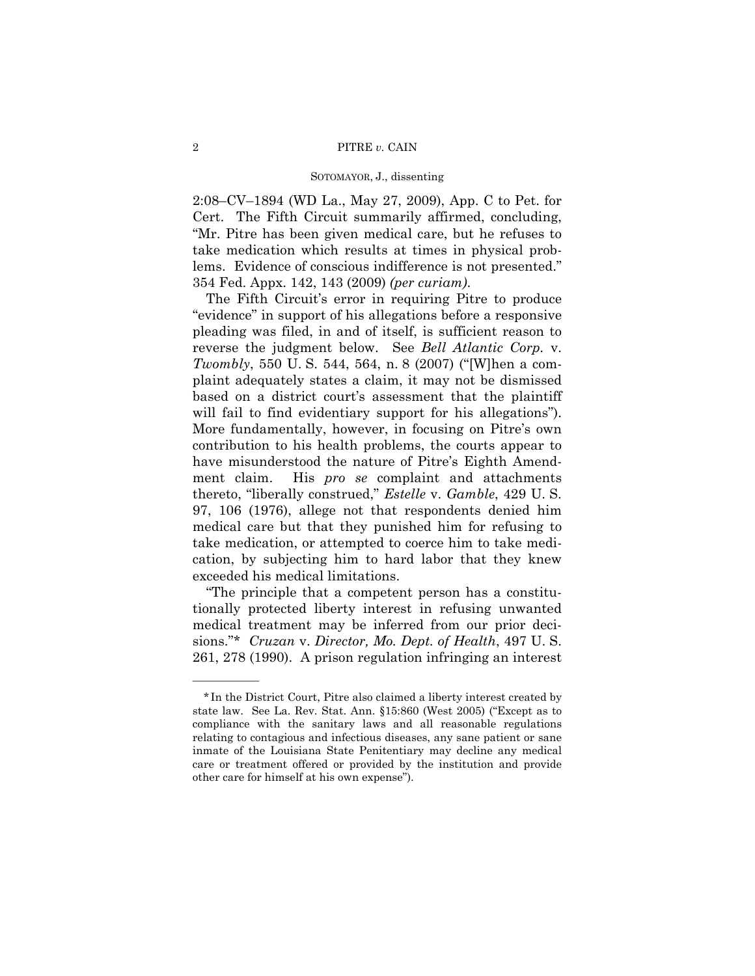#### SOTOMAYOR, J., dissenting

2:08–CV–1894 (WD La., May 27, 2009), App. C to Pet. for Cert. The Fifth Circuit summarily affirmed, concluding, "Mr. Pitre has been given medical care, but he refuses to take medication which results at times in physical problems. Evidence of conscious indifference is not presented." 354 Fed. Appx. 142, 143 (2009) *(per curiam)*.

The Fifth Circuit's error in requiring Pitre to produce "evidence" in support of his allegations before a responsive pleading was filed, in and of itself, is sufficient reason to reverse the judgment below. See *Bell Atlantic Corp.* v. *Twombly*, 550 U. S. 544, 564, n. 8 (2007) ("[W]hen a complaint adequately states a claim, it may not be dismissed based on a district court's assessment that the plaintiff will fail to find evidentiary support for his allegations"). More fundamentally, however, in focusing on Pitre's own contribution to his health problems, the courts appear to have misunderstood the nature of Pitre's Eighth Amendment claim. His *pro se* complaint and attachments thereto, "liberally construed," *Estelle* v. *Gamble*, 429 U. S. 97, 106 (1976), allege not that respondents denied him medical care but that they punished him for refusing to take medication, or attempted to coerce him to take medication, by subjecting him to hard labor that they knew exceeded his medical limitations.

"The principle that a competent person has a constitutionally protected liberty interest in refusing unwanted medical treatment may be inferred from our prior decisions."\* *Cruzan* v. *Director, Mo. Dept. of Health*, 497 U. S. 261, 278 (1990). A prison regulation infringing an interest

——————

<sup>\*</sup> In the District Court, Pitre also claimed a liberty interest created by state law. See La. Rev. Stat. Ann. §15:860 (West 2005) ("Except as to compliance with the sanitary laws and all reasonable regulations relating to contagious and infectious diseases, any sane patient or sane inmate of the Louisiana State Penitentiary may decline any medical care or treatment offered or provided by the institution and provide other care for himself at his own expense").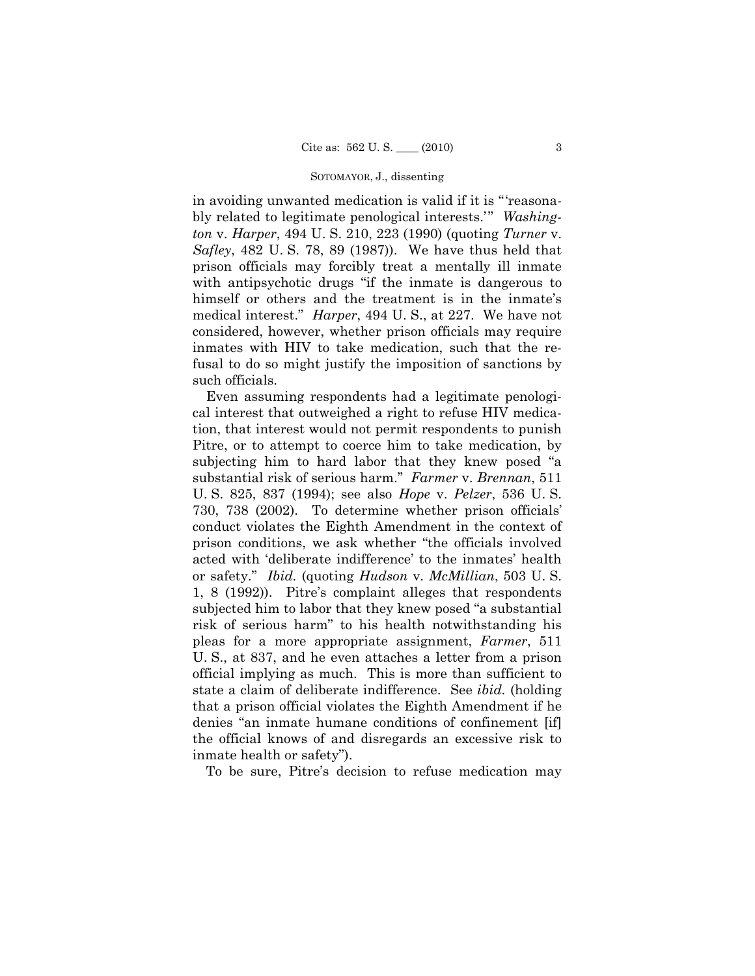### SOTOMAYOR, J., dissenting

in avoiding unwanted medication is valid if it is "'reasonably related to legitimate penological interests.'" *Washington* v. *Harper*, 494 U. S. 210, 223 (1990) (quoting *Turner* v. *Safley*, 482 U. S. 78, 89 (1987)). We have thus held that prison officials may forcibly treat a mentally ill inmate with antipsychotic drugs "if the inmate is dangerous to himself or others and the treatment is in the inmate's medical interest." *Harper*, 494 U. S., at 227. We have not considered, however, whether prison officials may require inmates with HIV to take medication, such that the refusal to do so might justify the imposition of sanctions by such officials.

Even assuming respondents had a legitimate penological interest that outweighed a right to refuse HIV medication, that interest would not permit respondents to punish Pitre, or to attempt to coerce him to take medication, by subjecting him to hard labor that they knew posed "a substantial risk of serious harm." *Farmer* v. *Brennan*, 511 U. S. 825, 837 (1994); see also *Hope* v. *Pelzer*, 536 U. S. 730, 738 (2002). To determine whether prison officials' conduct violates the Eighth Amendment in the context of prison conditions, we ask whether "the officials involved acted with 'deliberate indifference' to the inmates' health or safety." *Ibid.* (quoting *Hudson* v. *McMillian*, 503 U. S. 1, 8 (1992)). Pitre's complaint alleges that respondents subjected him to labor that they knew posed "a substantial risk of serious harm" to his health notwithstanding his pleas for a more appropriate assignment, *Farmer*, 511 U. S., at 837, and he even attaches a letter from a prison official implying as much. This is more than sufficient to state a claim of deliberate indifference. See *ibid.* (holding that a prison official violates the Eighth Amendment if he denies "an inmate humane conditions of confinement [if] the official knows of and disregards an excessive risk to inmate health or safety").

To be sure, Pitre's decision to refuse medication may